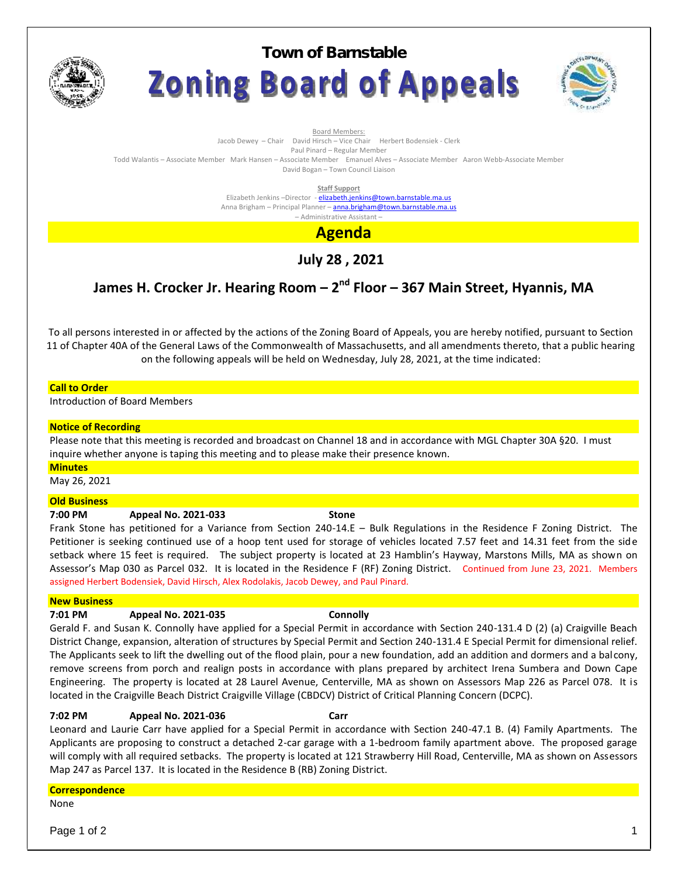

**Town of BarnstableZoning Board of Appeals** 



Board Members:

Jacob Dewey – Chair David Hirsch – Vice Chair Herbert Bodensiek - Clerk

Paul Pinard – Regular Member

Todd Walantis – Associate Member Mark Hansen – Associate Member Emanuel Alves – Associate Member Aaron Webb-Associate Member David Bogan – Town Council Liaison

**Staff Support**

Elizabeth Jenkins -Director - elizabeth.jenkins@town.barnstable.ma.us Anna Brigham – Principal Planner – **anna.brigham@town.barnstable.ma.us** – Administrative Assistant –

**Agenda**

**July 28 , 2021**

# **James H. Crocker Jr. Hearing Room – 2 nd Floor – 367 Main Street, Hyannis, MA**

To all persons interested in or affected by the actions of the Zoning Board of Appeals, you are hereby notified, pursuant to Section 11 of Chapter 40A of the General Laws of the Commonwealth of Massachusetts, and all amendments thereto, that a public hearing on the following appeals will be held on Wednesday, July 28, 2021, at the time indicated:

### **Call to Order**

Introduction of Board Members

#### **Notice of Recording**

Please note that this meeting is recorded and broadcast on Channel 18 and in accordance with MGL Chapter 30A §20. I must inquire whether anyone is taping this meeting and to please make their presence known.

#### **Minutes**

May 26, 2021

#### **Old Business**

#### **7:00 PM Appeal No. 2021-033 Stone**

Frank Stone has petitioned for a Variance from Section 240-14.E – Bulk Regulations in the Residence F Zoning District. The Petitioner is seeking continued use of a hoop tent used for storage of vehicles located 7.57 feet and 14.31 feet from the side setback where 15 feet is required. The subject property is located at 23 Hamblin's Hayway, Marstons Mills, MA as shown on Assessor's Map 030 as Parcel 032. It is located in the Residence F (RF) Zoning District. Continued from June 23, 2021. Members assigned Herbert Bodensiek, David Hirsch, Alex Rodolakis, Jacob Dewey, and Paul Pinard.

#### **New Business**

### **7:01 PM Appeal No. 2021-035 Connolly**

Gerald F. and Susan K. Connolly have applied for a Special Permit in accordance with Section 240-131.4 D (2) (a) Craigville Beach District Change, expansion, alteration of structures by Special Permit and Section 240-131.4 E Special Permit for dimensional relief. The Applicants seek to lift the dwelling out of the flood plain, pour a new foundation, add an addition and dormers and a balcony, remove screens from porch and realign posts in accordance with plans prepared by architect Irena Sumbera and Down Cape Engineering. The property is located at 28 Laurel Avenue, Centerville, MA as shown on Assessors Map 226 as Parcel 078. It is located in the Craigville Beach District Craigville Village (CBDCV) District of Critical Planning Concern (DCPC).

#### **7:02 PM Appeal No. 2021-036 Carr**

Leonard and Laurie Carr have applied for a Special Permit in accordance with Section 240-47.1 B. (4) Family Apartments. The Applicants are proposing to construct a detached 2-car garage with a 1-bedroom family apartment above. The proposed garage will comply with all required setbacks. The property is located at 121 Strawberry Hill Road, Centerville, MA as shown on Assessors Map 247 as Parcel 137. It is located in the Residence B (RB) Zoning District.

### **Correspondence**

None

Page 1 of 2  $\qquad \qquad \qquad$  1  $\qquad \qquad$